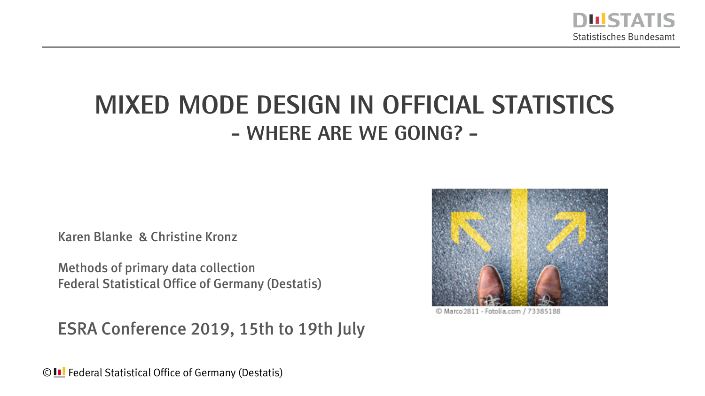

## **Mixed Mode Design in Official Statistics - Where are we Going? -**

Karen Blanke & Christine Kronz

Methods of primary data collection Federal Statistical Office of Germany (Destatis)

ESRA Conference 2019, 15th to 19th July



© Marco 2811 - Fotolia.com / 73385188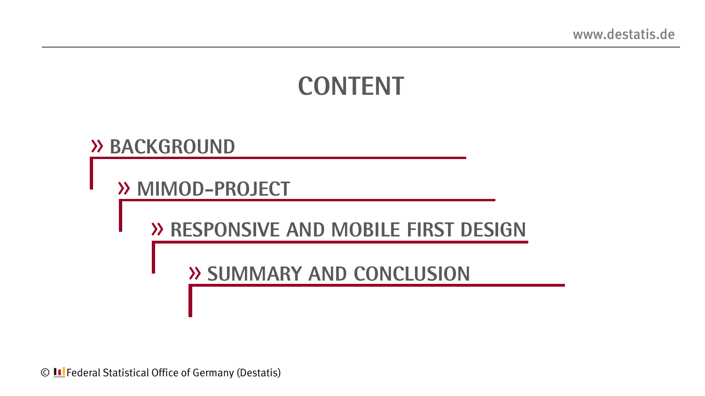# **CONTENT**

#### » **Background**

» **MimoD-ProjeCT**

» **Responsive And mobile first design**

» **Summary And Conclusion**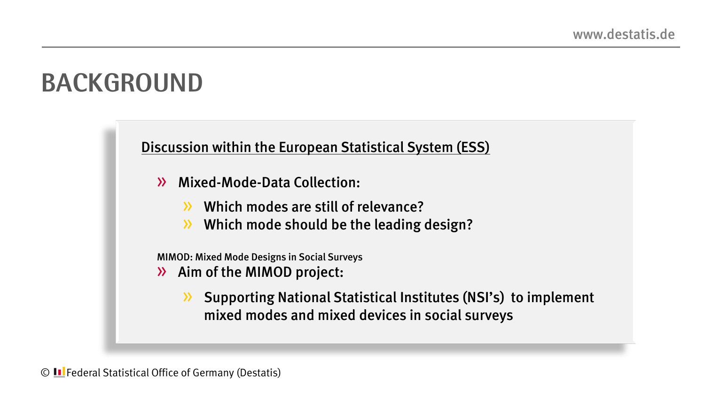# **BACKGROUND**

Discussion within the European Statistical System (ESS)

- » Mixed-Mode-Data Collection:
	- » Which modes are still of relevance?
	- » Which mode should be the leading design?

MIMOD: Mixed Mode Designs in Social Surveys

- » Aim of the MIMOD project:
	- » Supporting National Statistical Institutes (NSI's) to implement mixed modes and mixed devices in social surveys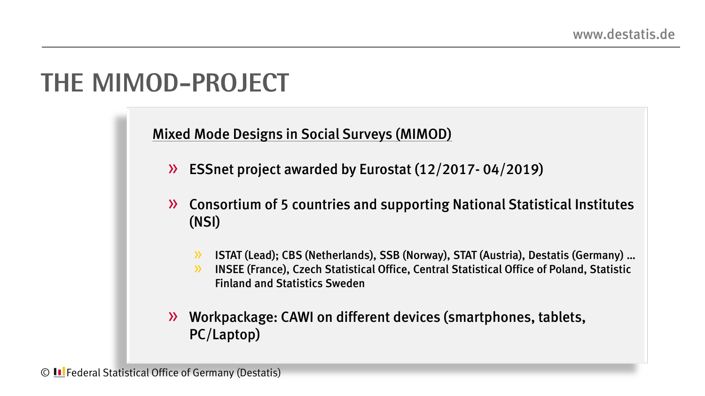# **The MIMOD-Project**

Mixed Mode Designs in Social Surveys (MIMOD)

- » ESSnet project awarded by Eurostat (12/2017- 04/2019)
- » Consortium of 5 countries and supporting National Statistical Institutes (NSI)
	- » ISTAT (Lead); CBS (Netherlands), SSB (Norway), STAT (Austria), Destatis (Germany) …
	- » INSEE (France), Czech Statistical Office, Central Statistical Office of Poland, Statistic Finland and Statistics Sweden
- » Workpackage: CAWI on different devices (smartphones, tablets, PC/Laptop)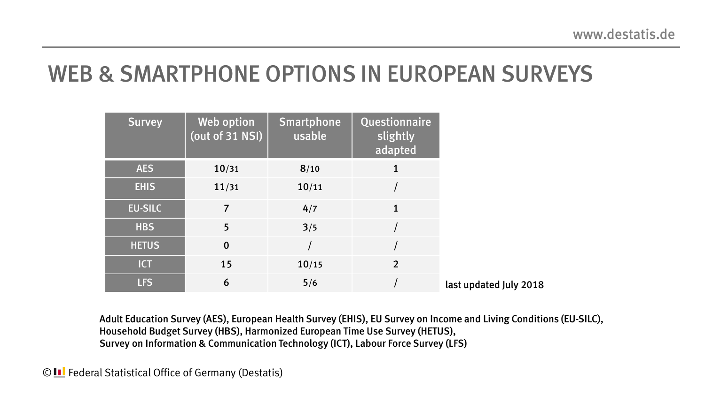### WEB & SMARTPHONE OPTIONS IN EUROPEAN SURVEYS

| <b>Survey</b>  | Web option<br>(out of 31 NSI) | <b>Smartphone</b><br>usable | Questionnaire<br>slightly<br>adapted |
|----------------|-------------------------------|-----------------------------|--------------------------------------|
| <b>AES</b>     | 10/31                         | 8/10                        | 1                                    |
| <b>EHIS</b>    | 11/31                         | 10/11                       |                                      |
| <b>EU-SILC</b> | 7                             | 4/7                         | $\mathbf{1}$                         |
| <b>HBS</b>     | 5                             | 3/5                         |                                      |
| <b>HETUS</b>   | $\mathbf 0$                   |                             |                                      |
| <b>ICT</b>     | 15                            | 10/15                       | $\overline{2}$                       |
| <b>LFS</b>     | 6                             | 5/6                         |                                      |

Adult Education Survey (AES), European Health Survey (EHIS), EU Survey on Income and Living Conditions (EU-SILC), Household Budget Survey (HBS), Harmonized European Time Use Survey (HETUS), Survey on Information & Communication Technology (ICT), Labour Force Survey (LFS)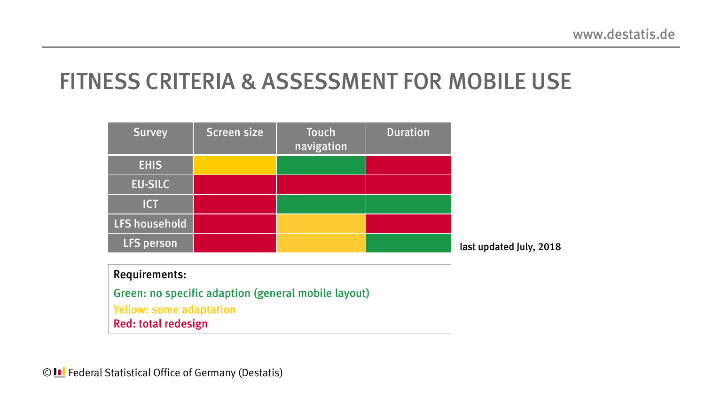### FITNESS CRITERIA & ASSESSMENT FOR MOBILE USE

| <b>Survey</b>        | Screen size | Touch<br>navigation                                 | <b>Duration</b> |                         |
|----------------------|-------------|-----------------------------------------------------|-----------------|-------------------------|
| <b>EHIS</b>          |             |                                                     |                 |                         |
| <b>EU-SILC</b>       |             |                                                     |                 |                         |
| <b>ICT</b>           |             |                                                     |                 |                         |
| LFS household        |             |                                                     |                 |                         |
| <b>LFS person</b>    |             |                                                     |                 | last updated July, 2018 |
| <b>Requirements:</b> |             | Green: no specific adaption (general mobile layout) |                 |                         |

Yellow: some adaptation Red: total redesign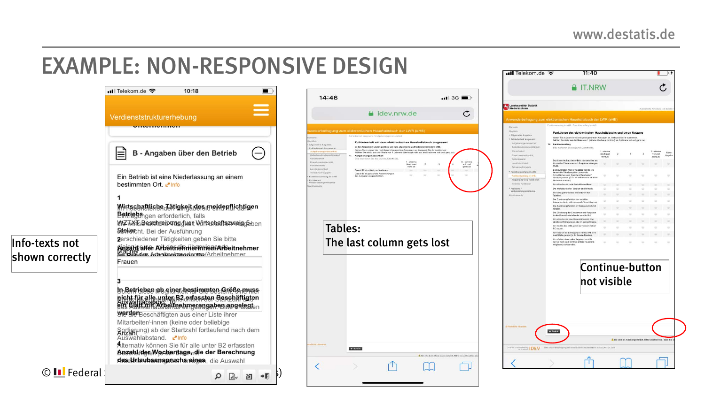### EXAMPLE: NON-RESPONSIVE DESIGN

|                                   | $\blacksquare$ Telekom.de<br>10:18                                                                                                                                                   |  |  |  |  |  |  |  |
|-----------------------------------|--------------------------------------------------------------------------------------------------------------------------------------------------------------------------------------|--|--|--|--|--|--|--|
|                                   |                                                                                                                                                                                      |  |  |  |  |  |  |  |
|                                   | Verdienststrukturerhebung                                                                                                                                                            |  |  |  |  |  |  |  |
|                                   | B - Angaben über den Betrieb                                                                                                                                                         |  |  |  |  |  |  |  |
|                                   | Ein Betrieb ist eine Niederlassung an einem<br>bestimmten Ort                                                                                                                        |  |  |  |  |  |  |  |
|                                   | Wirtssbaftliche Tätigkeit des meldenflichtigen<br><b>Betrisch</b> igen erforderlich, falls<br>WZ TAKTs Bearchte ib ung duen Wirtschaftszweig Gbben<br>Stelleicht. Bei der Ausführung |  |  |  |  |  |  |  |
| Info-texts not<br>shown correctly | 2erschiedener Tätigkeiten geben Sie bitte<br>Alazahl aller Arbeithein Herinnen Arbeitnehmer<br><b>BAT der Arheitsehmeriarem/Ar</b> heitnehmer<br>Frauen                              |  |  |  |  |  |  |  |
|                                   | b Betriabse ab ainer hestimmten Größe muss<br>nicht für alle unter B3 onfassten Beschäftigten<br>Allswählabden und eingerungen angelegten                                            |  |  |  |  |  |  |  |
|                                   | werden Beschäftigten aus einer Liste ihrer<br>Mitarbeiter/-innen (keine oder beliebige<br>Sortierung) ab der Startzahl fortlaufend nach dem<br>Auswahlabstand. Pinfo                 |  |  |  |  |  |  |  |
|                                   | Alternativ können Sie für alle unter B2 erfassten<br>AnzahlfdereWechentagendie der Berechnung<br>deseunlaubsanspruchs nines, die Auswahl                                             |  |  |  |  |  |  |  |
| © II Federal                      | הא                                                                                                                                                                                   |  |  |  |  |  |  |  |



|                                                         | $\cdot$ ull Telekom de<br>11:40                                                                                                                                                             |                        |                |                |                |                                                                 | Þ      |
|---------------------------------------------------------|---------------------------------------------------------------------------------------------------------------------------------------------------------------------------------------------|------------------------|----------------|----------------|----------------|-----------------------------------------------------------------|--------|
|                                                         | <b>A</b> IT.NRW                                                                                                                                                                             |                        |                |                |                |                                                                 |        |
| Landosamt für Statistik<br>Niedersachsen                |                                                                                                                                                                                             |                        |                |                |                | Automalische Abmoldung in 3 Etunateit                           |        |
|                                                         |                                                                                                                                                                                             |                        |                |                |                |                                                                 |        |
|                                                         | Anwenderbefragung zum elektronischen Haushaltsbuch der LWR (eHB)<br>Funktionsumfang im eHB / Funktionsumfang im eHB                                                                         |                        |                |                |                |                                                                 |        |
| Startswitz<br><b>Obeltick</b>                           |                                                                                                                                                                                             |                        |                |                |                |                                                                 |        |
| * Allgemeine Angaben                                    | Funktionen des elektronischen Haushaltsbuchs und deren Nutzung                                                                                                                              |                        |                |                |                |                                                                 |        |
| * Zufriedenheit Insgesamt                               | Geben Sie zu jeder der nachfolgend genannten Aussagen an, inwieweit Sie ihr zustimmen.<br>Wählen Sie dafür aus der Skala von 1 (stimme überhaupt nicht zu) bis 5 (stimme voll und ganz zu). |                        |                |                |                |                                                                 |        |
| Aufgabenangemesserzset<br>Selbathead's elburgatähigkeit | Funktionsumfang<br>Bitte markieren Sie das jeweils Zutreffende.                                                                                                                             |                        |                |                |                |                                                                 |        |
| Steuerbakeat                                            |                                                                                                                                                                                             | $1 -$ stimme           |                |                |                | $5 - 6$ timmo                                                   | Keine  |
| Envertungskonformität                                   |                                                                                                                                                                                             | überhaupt<br>micht zur | $\overline{a}$ | $\overline{3}$ | $\overline{a}$ | voll und<br>ganz zu                                             | Angabe |
| Pehlenshmanz                                            | Durch den Aufbau des eHB ist mir stets klar, wo                                                                                                                                             |                        |                |                |                |                                                                 |        |
| Lembrderfichkeit<br>Teilnatime Folgejahr                | ich welche Einnahmen und Ausgaben eintragen<br>muss.                                                                                                                                        |                        |                |                |                |                                                                 | u      |
| * Funktionsumfang im eHB                                | Beim Eintragen meiner Angaben konnte ich<br>immer alle Tabetenspatien (sowie die                                                                                                            |                        |                |                |                |                                                                 |        |
| Furktionsumfang im eFB                                  | Schaltflächen zum Speichern/Bearbeiten/<br>Löschen) sehen. (D. h. im eHB musste ich nicht                                                                                                   | ٠                      |                |                |                | ٠                                                               | u      |
| Nutzung der einit Funktionen                            | horizontal scrollen)                                                                                                                                                                        |                        |                |                |                |                                                                 |        |
| fehlende Funktionen                                     | Ich wünsche mir mehr Instruktionsvideos                                                                                                                                                     |                        |                |                |                |                                                                 |        |
| Problems /<br>Verbesserungswünsche                      | Die Infofelder in den Tabellen sind hilfreich.                                                                                                                                              | ٠                      | u              | u              | ٠              | ú                                                               | ú      |
| Abschlussseite                                          | Ich hälte geme weitere Infofelder in den<br>Tabellen                                                                                                                                        | ٠                      |                |                |                |                                                                 |        |
|                                                         | Die Zuordnungsfunktion der variablen                                                                                                                                                        | ×                      | ×              | u              | ö              | ü                                                               | ä      |
|                                                         | Ausgaben bietet stets passende Vorschläge an.<br>Die Zuordnungsfunktion ist filissig und schneli                                                                                            |                        |                |                |                |                                                                 |        |
|                                                         | nutzbar.                                                                                                                                                                                    |                        |                |                |                |                                                                 |        |
|                                                         | Die Gliederung der Einriahmen und Ausgaben<br>in den Übersichtstabelien ist verständlich.                                                                                                   | ۰                      | ٠              | u              | ۰              | ٠                                                               | u      |
|                                                         | Ich wünsche mir aine Gesamtübersicht über                                                                                                                                                   |                        |                |                |                |                                                                 |        |
|                                                         | sämtliche Eintragungen, die ich gemacht habe<br>Ich möchte das eHB geme auf meinem Tablet-                                                                                                  |                        |                |                |                |                                                                 |        |
|                                                         | PC ratern.                                                                                                                                                                                  | ٠                      | ٠              | ٠              | w              | ÷                                                               | ÷      |
|                                                         | Ich habe für die Eintragungen in das eHB eine<br>Ausfüllhife genutzt (z. B. Screen-Reader).                                                                                                 |                        |                |                |                |                                                                 |        |
|                                                         | Ich möchte, dass meine Angaben im eHB<br>nur für mich (und nicht für andere Haushalts-<br>mitglieder) sichtbar sind.                                                                        |                        |                |                | ٠              | ٠                                                               | u      |
|                                                         | Continue-button                                                                                                                                                                             |                        |                |                |                |                                                                 |        |
|                                                         |                                                                                                                                                                                             |                        |                |                |                |                                                                 |        |
|                                                         | not visible                                                                                                                                                                                 |                        |                |                |                |                                                                 |        |
| <b>Rechtliche Hinaurgs</b>                              | $+$ Zurück                                                                                                                                                                                  |                        |                |                |                |                                                                 |        |
|                                                         |                                                                                                                                                                                             |                        |                |                |                | 1. Sie sind als Gast angemeldet. Bitte beachten Sie, dass Sie a |        |
| <b>International DEV</b>                                | Poniecher Haushaltsburg (ST121) POLD1 2015<br>sheltremputes asm eleio                                                                                                                       |                        |                |                |                |                                                                 |        |
|                                                         |                                                                                                                                                                                             |                        |                |                |                |                                                                 |        |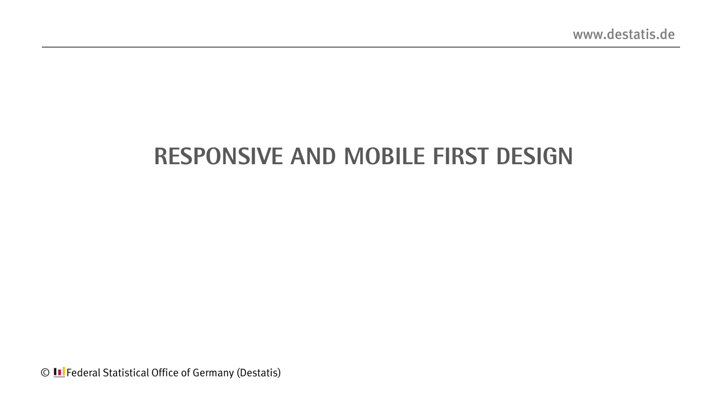### **Responsive AND mobile First Design**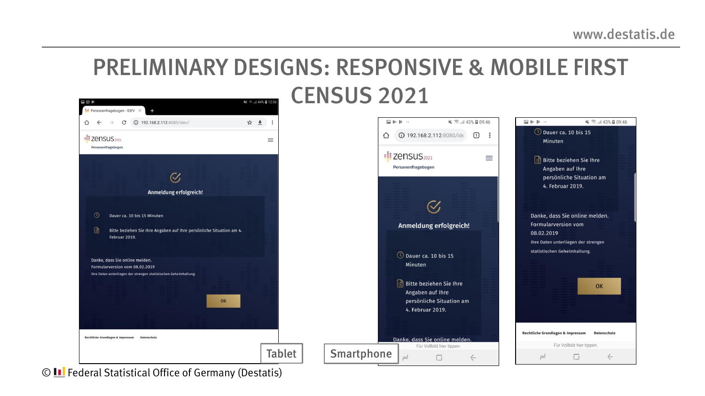#### PRELIMINARY DESIGNS: RESPONSIVE & MOBILE FIRST CENSUS 2021

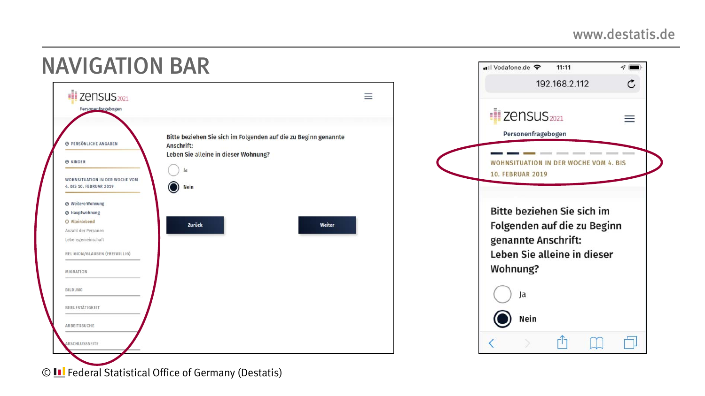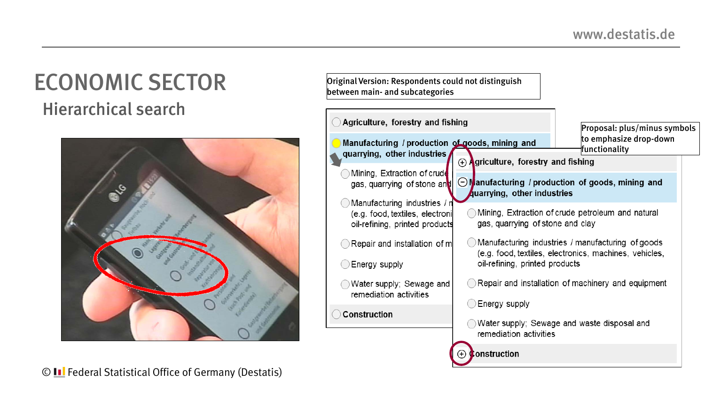#### ECONOMIC SECTOR Hierarchical search



Original Version: Respondents could not distinguish between main- and subcategories

| Agriculture, forestry and fishing                                                                 | Proposal: plus/minus symbols                                                                                                                  |                                                                                       |  |  |  |  |  |
|---------------------------------------------------------------------------------------------------|-----------------------------------------------------------------------------------------------------------------------------------------------|---------------------------------------------------------------------------------------|--|--|--|--|--|
| Manufacturing / production of goods, mining and<br>quarrying, other industries                    |                                                                                                                                               | to emphasize drop-down<br>functionality                                               |  |  |  |  |  |
|                                                                                                   | $\Theta$ Agriculture, forestry and fishing                                                                                                    |                                                                                       |  |  |  |  |  |
| Mining, Extraction of crude<br>gas, quarrying of stone and                                        | $\odot$ Manufacturing / production of goods, mining and<br>quarrying, other industries                                                        |                                                                                       |  |  |  |  |  |
| Manufacturing industries / n<br>(e.g. food, textiles, electroni<br>oil-refining, printed products |                                                                                                                                               | Mining, Extraction of crude petroleum and natural<br>gas, quarrying of stone and clay |  |  |  |  |  |
| Repair and installation of m<br>Energy supply                                                     | Manufacturing industries / manufacturing of goods<br>(e.g. food, textiles, electronics, machines, vehicles,<br>oil-refining, printed products |                                                                                       |  |  |  |  |  |
| Water supply; Sewage and<br>remediation activities                                                |                                                                                                                                               | Repair and installation of machinery and equipment                                    |  |  |  |  |  |
| <b>Construction</b>                                                                               | Energy supply<br>remediation activities                                                                                                       | Water supply; Sewage and waste disposal and                                           |  |  |  |  |  |
|                                                                                                   | construction                                                                                                                                  |                                                                                       |  |  |  |  |  |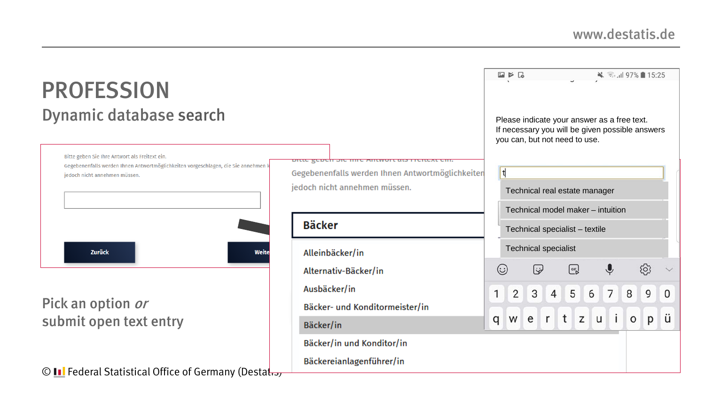| <b>PROFESSION</b>                                                                                                                                                     |                                                                                   |             | $\Box \triangleright \Box$ |                     |                                                                                                                                 |                  |                |                 |                     | → 司山 97% 15:25 |              |
|-----------------------------------------------------------------------------------------------------------------------------------------------------------------------|-----------------------------------------------------------------------------------|-------------|----------------------------|---------------------|---------------------------------------------------------------------------------------------------------------------------------|------------------|----------------|-----------------|---------------------|----------------|--------------|
| Dynamic database search                                                                                                                                               |                                                                                   |             |                            |                     | Please indicate your answer as a free text.<br>If necessary you will be given possible answers<br>you can, but not need to use. |                  |                |                 |                     |                |              |
| Bitte geben Sie Ihre Antwort als Freitext ein.<br>Gegebenenfalls werden Ihnen Antwortmöglichkeiten vorgeschlagen, die Sie annehmen k<br>jedoch nicht annehmen müssen. | Gegebenenfalls werden Ihnen Antwortmöglichkeiten<br>jedoch nicht annehmen müssen. |             | t                          |                     | Technical real estate manager                                                                                                   |                  |                |                 |                     |                |              |
|                                                                                                                                                                       | <b>Bäcker</b>                                                                     |             |                            |                     | Technical model maker - intuition<br>Technical specialist - textile                                                             |                  |                |                 |                     |                |              |
| <b>Zurück</b><br>Weite                                                                                                                                                | Alleinbäcker/in<br>Alternativ-Bäcker/in                                           | $(\because$ |                            | $\ddot{\bm{\zeta}}$ | <b>Technical specialist</b>                                                                                                     | GIF <sub>D</sub> |                |                 |                     | {ે             |              |
| Pick an option or<br>submit open text entry                                                                                                                           | Ausbäcker/in<br>Bäcker- und Konditormeister/in                                    | 1           | $\overline{2}$             | 3 <sup>1</sup>      | 4                                                                                                                               | 5 <sup>1</sup>   | 6 <sup>1</sup> | $7\overline{ }$ | 8                   | 9              | $\mathbf{0}$ |
|                                                                                                                                                                       | Bäcker/in<br>Bäcker/in und Konditor/in                                            | q           |                            |                     | wertzui                                                                                                                         |                  |                |                 | $\mathsf{o}\xspace$ | p              | ü            |
| © <b>II</b> Federal Statistical Office of Germany (Destation                                                                                                          | Bäckereianlagenführer/in                                                          |             |                            |                     |                                                                                                                                 |                  |                |                 |                     |                |              |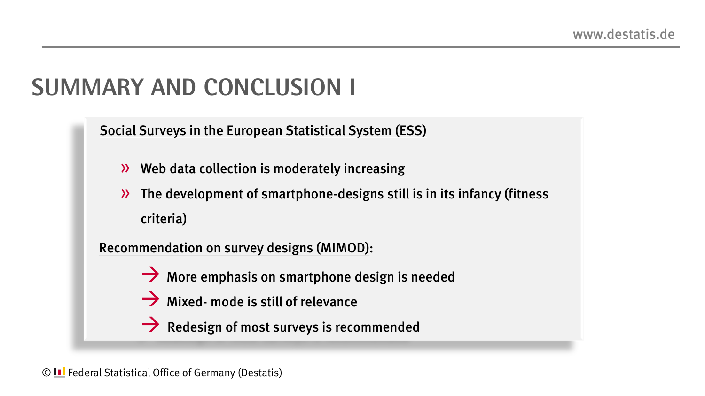### **Summary And Conclusion I**

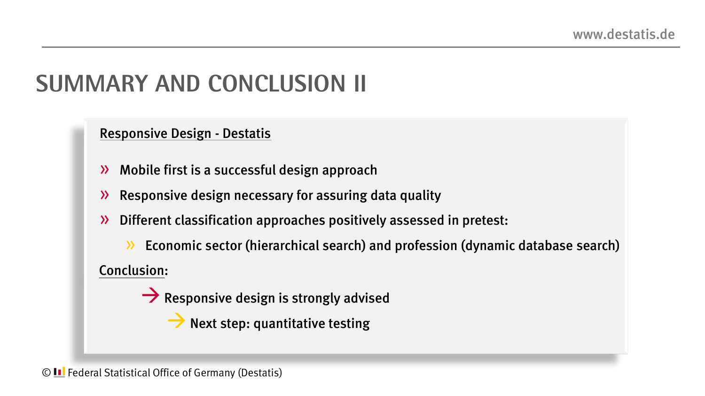### **Summary ANd Conclusion II**

Responsive Design - Destatis

- » Mobile first is a successful design approach
- » Responsive design necessary for assuring data quality
- » Different classification approaches positively assessed in pretest:

» Economic sector (hierarchical search) and profession (dynamic database search) Conclusion:

 $\rightarrow$  Responsive design is strongly advised

 $\rightarrow$  Next step: quantitative testing